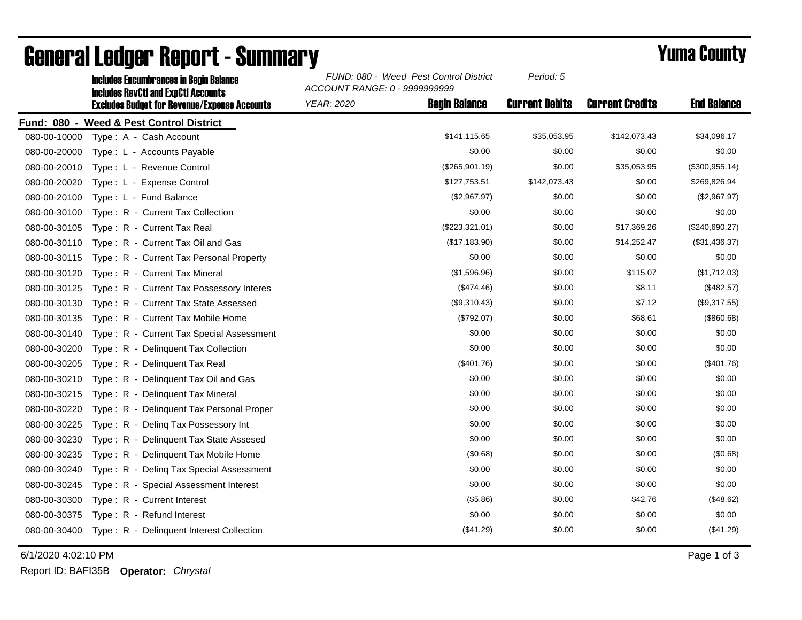|              | <b>Includes Encumbrances in Begin Balance</b><br><b>Includes RevCtI and ExpCtI Accounts</b> | FUND: 080 - Weed Pest Control District<br>ACCOUNT RANGE: 0 - 9999999999 |                      | Period: 5             |                        |                    |
|--------------|---------------------------------------------------------------------------------------------|-------------------------------------------------------------------------|----------------------|-----------------------|------------------------|--------------------|
|              | <b>Excludes Budget for Revenue/Expense Accounts</b>                                         | <b>YEAR: 2020</b>                                                       | <b>Beain Balance</b> | <b>Current Debits</b> | <b>Current Credits</b> | <b>End Balance</b> |
|              | Fund: 080 - Weed & Pest Control District                                                    |                                                                         |                      |                       |                        |                    |
| 080-00-10000 | Type: A - Cash Account                                                                      |                                                                         | \$141,115.65         | \$35,053.95           | \$142,073.43           | \$34,096.17        |
| 080-00-20000 | Type: L - Accounts Payable                                                                  |                                                                         | \$0.00               | \$0.00                | \$0.00                 | \$0.00             |
| 080-00-20010 | Type: L - Revenue Control                                                                   |                                                                         | (\$265,901.19)       | \$0.00                | \$35,053.95            | (\$300,955.14)     |
| 080-00-20020 | Type: L - Expense Control                                                                   |                                                                         | \$127,753.51         | \$142,073.43          | \$0.00                 | \$269,826.94       |
| 080-00-20100 | Type: L - Fund Balance                                                                      |                                                                         | (\$2,967.97)         | \$0.00                | \$0.00                 | (\$2,967.97)       |
| 080-00-30100 | Type: R - Current Tax Collection                                                            |                                                                         | \$0.00               | \$0.00                | \$0.00                 | \$0.00             |
| 080-00-30105 | Type: R - Current Tax Real                                                                  |                                                                         | (\$223,321.01)       | \$0.00                | \$17,369.26            | (\$240,690.27)     |
| 080-00-30110 | Type: R - Current Tax Oil and Gas                                                           |                                                                         | (\$17,183.90)        | \$0.00                | \$14,252.47            | (\$31,436.37)      |
| 080-00-30115 | Type: R - Current Tax Personal Property                                                     |                                                                         | \$0.00               | \$0.00                | \$0.00                 | \$0.00             |
| 080-00-30120 | Type: R - Current Tax Mineral                                                               |                                                                         | (\$1,596.96)         | \$0.00                | \$115.07               | (\$1,712.03)       |
| 080-00-30125 | Type: R - Current Tax Possessory Interes                                                    |                                                                         | (\$474.46)           | \$0.00                | \$8.11                 | (\$482.57)         |
| 080-00-30130 | Type: R - Current Tax State Assessed                                                        |                                                                         | (\$9,310.43)         | \$0.00                | \$7.12                 | (\$9,317.55)       |
| 080-00-30135 | Type: R - Current Tax Mobile Home                                                           |                                                                         | (\$792.07)           | \$0.00                | \$68.61                | (\$860.68)         |
| 080-00-30140 | Type: R - Current Tax Special Assessment                                                    |                                                                         | \$0.00               | \$0.00                | \$0.00                 | \$0.00             |
| 080-00-30200 | Type: R - Delinquent Tax Collection                                                         |                                                                         | \$0.00               | \$0.00                | \$0.00                 | \$0.00             |
| 080-00-30205 | Type: R - Delinquent Tax Real                                                               |                                                                         | (\$401.76)           | \$0.00                | \$0.00                 | (\$401.76)         |
| 080-00-30210 | Type: R - Delinquent Tax Oil and Gas                                                        |                                                                         | \$0.00               | \$0.00                | \$0.00                 | \$0.00             |
| 080-00-30215 | Type: R - Delinquent Tax Mineral                                                            |                                                                         | \$0.00               | \$0.00                | \$0.00                 | \$0.00             |
| 080-00-30220 | Type: R - Delinquent Tax Personal Proper                                                    |                                                                         | \$0.00               | \$0.00                | \$0.00                 | \$0.00             |
| 080-00-30225 | Type: R - Deling Tax Possessory Int                                                         |                                                                         | \$0.00               | \$0.00                | \$0.00                 | \$0.00             |
| 080-00-30230 | Type: R - Delinguent Tax State Assesed                                                      |                                                                         | \$0.00               | \$0.00                | \$0.00                 | \$0.00             |
| 080-00-30235 | Type: R - Delinquent Tax Mobile Home                                                        |                                                                         | (\$0.68)             | \$0.00                | \$0.00                 | (\$0.68)           |
| 080-00-30240 | Type: R - Deling Tax Special Assessment                                                     |                                                                         | \$0.00               | \$0.00                | \$0.00                 | \$0.00             |
| 080-00-30245 | Type: R - Special Assessment Interest                                                       |                                                                         | \$0.00               | \$0.00                | \$0.00                 | \$0.00             |
| 080-00-30300 | Type: R - Current Interest                                                                  |                                                                         | (\$5.86)             | \$0.00                | \$42.76                | (\$48.62)          |
| 080-00-30375 | Type: R - Refund Interest                                                                   |                                                                         | \$0.00               | \$0.00                | \$0.00                 | \$0.00             |
| 080-00-30400 | Type: R - Delinquent Interest Collection                                                    |                                                                         | (\$41.29)            | \$0.00                | \$0.00                 | (\$41.29)          |

## General Ledger Report - Summary **Example 2018** Yuma County

6/1/2020 4:02:10 PM Page 1 of 3

Report ID: BAFI35B **Operator:** *Chrystal*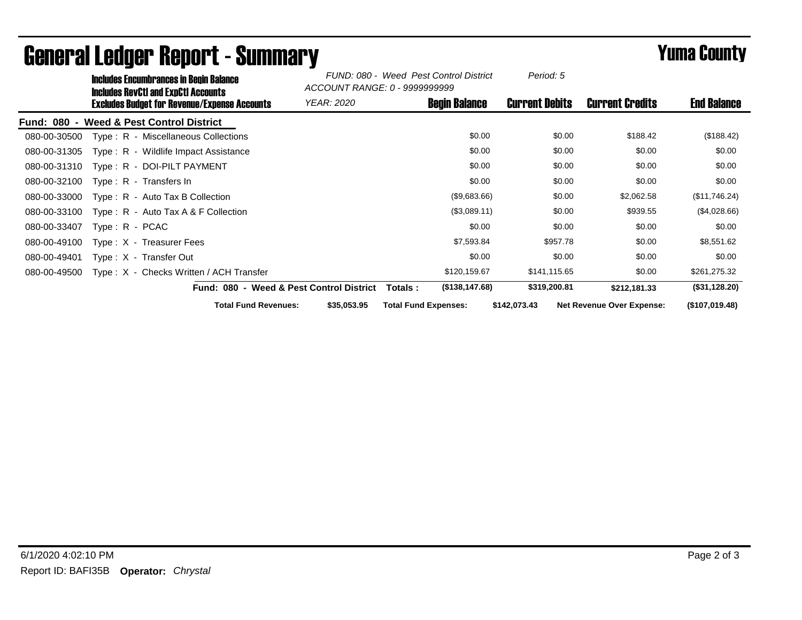|                    | <b>Includes Encumbrances in Begin Balance</b><br><b>Includes RevCtI and ExpCtI Accounts</b><br>Excludes Budget for Revenue/Expense Accounts |                                         |                                          | FUND: 080 - Weed Pest Control District<br>ACCOUNT RANGE: 0 - 9999999999 |                             | Period: 5             |                                  |                    |
|--------------------|---------------------------------------------------------------------------------------------------------------------------------------------|-----------------------------------------|------------------------------------------|-------------------------------------------------------------------------|-----------------------------|-----------------------|----------------------------------|--------------------|
|                    |                                                                                                                                             |                                         | YEAR: 2020                               |                                                                         | <b>Begin Balance</b>        | <b>Current Debits</b> | <b>Current Credits</b>           | <b>End Balance</b> |
| <b>Fund: 080 -</b> |                                                                                                                                             | Weed & Pest Control District            |                                          |                                                                         |                             |                       |                                  |                    |
| 080-00-30500       |                                                                                                                                             | Type: R - Miscellaneous Collections     |                                          |                                                                         | \$0.00                      | \$0.00                | \$188.42                         | (\$188.42)         |
| 080-00-31305       |                                                                                                                                             | Type: R - Wildlife Impact Assistance    |                                          |                                                                         | \$0.00                      | \$0.00                | \$0.00                           | \$0.00             |
| 080-00-31310       |                                                                                                                                             | Type: R - DOI-PILT PAYMENT              |                                          |                                                                         | \$0.00                      | \$0.00                | \$0.00                           | \$0.00             |
| 080-00-32100       |                                                                                                                                             | Type: R - Transfers In                  |                                          |                                                                         | \$0.00                      | \$0.00                | \$0.00                           | \$0.00             |
| 080-00-33000       |                                                                                                                                             | $Type: R - Auto Tax B Collection$       |                                          |                                                                         | (\$9,683.66)                | \$0.00                | \$2,062.58                       | (\$11,746.24)      |
| 080-00-33100       |                                                                                                                                             | Type: $R -$ Auto Tax A & F Collection   |                                          |                                                                         | (\$3,089.11)                | \$0.00                | \$939.55                         | (\$4,028.66)       |
| 080-00-33407       | $Type: R - PCAC$                                                                                                                            |                                         |                                          |                                                                         | \$0.00                      | \$0.00                | \$0.00                           | \$0.00             |
| 080-00-49100       |                                                                                                                                             | Type $: X - T$ reasurer Fees            |                                          |                                                                         | \$7,593.84                  | \$957.78              | \$0.00                           | \$8,551.62         |
| 080-00-49401       |                                                                                                                                             | Type: X - Transfer Out                  |                                          |                                                                         | \$0.00                      | \$0.00                | \$0.00                           | \$0.00             |
| 080-00-49500       |                                                                                                                                             | Type: X - Checks Written / ACH Transfer |                                          |                                                                         | \$120,159.67                | \$141,115.65          | \$0.00                           | \$261,275.32       |
|                    |                                                                                                                                             |                                         | Fund: 080 - Weed & Pest Control District |                                                                         | (\$138, 147.68)<br>Totals : | \$319,200.81          | \$212,181.33                     | (\$31,128.20)      |
|                    |                                                                                                                                             | <b>Total Fund Revenues:</b>             |                                          | \$35,053.95                                                             | <b>Total Fund Expenses:</b> | \$142,073.43          | <b>Net Revenue Over Expense:</b> | (\$107,019.48)     |

## General Ledger Report - Summary **Example 2018** Yuma County